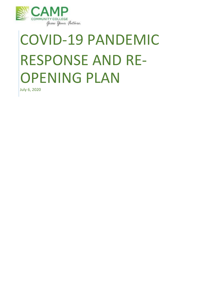

# COVID-19 PANDEMIC RESPONSE AND RE-OPENING PLAN

July 6, 2020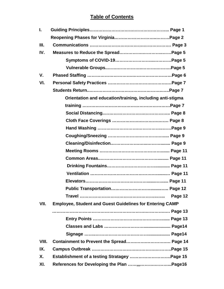# **Table of Contents**

| L.    |                                                                 |
|-------|-----------------------------------------------------------------|
|       |                                                                 |
| Ш.    |                                                                 |
| IV.   |                                                                 |
|       |                                                                 |
|       |                                                                 |
| V.    |                                                                 |
| VI.   |                                                                 |
|       |                                                                 |
|       | Orientation and education/training, including anti-stigma       |
|       |                                                                 |
|       |                                                                 |
|       |                                                                 |
|       |                                                                 |
|       |                                                                 |
|       |                                                                 |
|       |                                                                 |
|       |                                                                 |
|       |                                                                 |
|       |                                                                 |
|       |                                                                 |
|       |                                                                 |
|       | Page 12                                                         |
| VII.  | <b>Employee, Student and Guest Guidelines for Entering CAMP</b> |
|       |                                                                 |
|       |                                                                 |
|       |                                                                 |
|       |                                                                 |
| VIII. |                                                                 |
| IX.   |                                                                 |
| Χ.    |                                                                 |
| XI.   |                                                                 |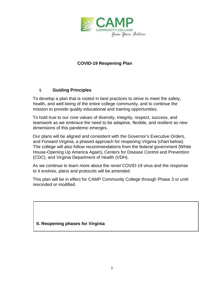

# **COVID-19 Reopening Plan**

# **I. Guiding Principles**

To develop a plan that is rooted in best practices to strive to meet the safety, health, and well-being of the entire college community, and to continue the mission to provide quality educational and training opportunities.

To hold true to our core values of diversity, integrity, respect, success, and teamwork as we embrace the need to be adaptive, flexible, and resilient as new dimensions of this pandemic emerges.

Our plans will be aligned and consistent with the Governor's Executive Orders, and *Forward Virginia*, a phased approach for reopening Virginia (chart below). The college will also follow recommendations from the federal government (White House-Opening Up America Again), Centers for Disease Control and Prevention (CDC), and Virginia Department of Health (VDH).

As we continue to learn more about the novel COVID-19 virus and the response to it evolves, plans and protocols will be amended.

This plan will be in effect for CAMP Community College through Phase 3 or until rescinded or modified.

#### **II. Reopening phases for Virginia**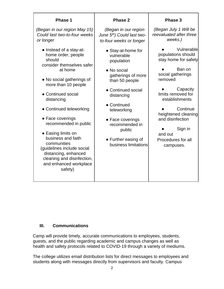| <b>Phase 1</b>                                                                                                                                                        | Phase 2                                                                                     | Phase 3                                                     |                             |
|-----------------------------------------------------------------------------------------------------------------------------------------------------------------------|---------------------------------------------------------------------------------------------|-------------------------------------------------------------|-----------------------------|
| (Began in our region May 15)<br>Could last two-to-four weeks<br>or longer                                                                                             | (Began in our region<br>June 5th) Could last two-<br>to-four weeks or longer                | (Began July 1 Will be<br>reevaluated after three<br>weeks.) |                             |
| • Instead of a stay-at-<br>home order, people<br>should<br>consider themselves safer                                                                                  | • Stay-at-home for<br>vulnerable<br>population                                              | Vulnerable<br>populations should<br>stay home for safety    |                             |
| at home<br>• No social gatherings of<br>more than 10 people                                                                                                           | • No social<br>gatherings of more<br>than 50 people<br>• Continued social<br>distancing     | Ban on<br>social gatherings<br>removed                      |                             |
| • Continued social<br>distancing                                                                                                                                      |                                                                                             | Capacity<br>limits removed for<br>establishments            |                             |
| • Continued teleworking                                                                                                                                               | • Continued<br>teleworking                                                                  | Continue<br>heightened cleaning                             |                             |
| • Face coverings<br>recommended in public                                                                                                                             | • Face coverings<br>recommended in<br>public<br>• Further easing of<br>business limitations |                                                             | and disinfection<br>Sign in |
| • Easing limits on<br>business and faith<br>communities<br>(guidelines include social<br>distancing, enhanced<br>cleaning and disinfection,<br>and enhanced workplace |                                                                                             | and out<br>Procedures for all<br>campuses.                  |                             |
| safety)                                                                                                                                                               |                                                                                             |                                                             |                             |

#### **III. Communications**

Camp will provide timely, accurate communications to employees, students, guests, and the public regarding academic and campus changes as well as health and safety protocols related to COVID-19 through a variety of mediums.

The college utilizes email distribution lists for direct messages to employees and students along with messages directly from supervisors and faculty. Campus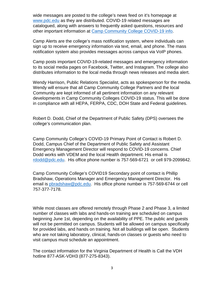wide messages are posted to the college's news feed on it's homepage at [www.pdc.ed](http://www.pdc.edu/)[u](http://www.virginiawestern.edu/) [as](http://www.virginiawestern.edu/) they are distributed. COVID-19 related messages are catalogued, along with answers to frequently asked questions, resources and other important information at [Camp Community College COVID-19 inf](https://www.pdc.edu/servicesandresources/resources-and-services-for-students/department-of-public-safety/2019-novel-coronavirus-updates-information)[o.](https://www.virginiawestern.edu/covid19) 

Camp Alerts are the college's mass notification system, where individuals can sign up to receive emergency information via text, email, and phone. The mass notification system also provides messages across campus via VoIP phones.

Camp posts important COVID-19-related messages and emergency information to its social media pages on Facebook, Twitter, and Instagram. The college also distributes information to the local media through news releases and media alert.

Wendy Harrison, Public Relations Specialist, acts as spokesperson for the media. Wendy will ensure that all Camp Community College Partners and the local Community are kept informed of all pertinent information on any relevant developments in Camp Community Colleges COVID-19 status. This will be done in compliance with all HEPA, FERPA, CDC, DOH State and Federal guidelines.

Robert D. Dodd, Chief of the Department of Public Safety (DPS) oversees the college's communication plan.

Camp Community College's COVID-19 Primary Point of Contact is Robert D. Dodd, Campus Chief of the Department of Public Safety and Assistant Emergency Management Director will respond to COVID-19 concerns. Chief Dodd works with VDEM and the local Health department. His email is rdodd@pdc.edu. His office phone number is 757-569-6721 or cell 979-2099842.

Camp Community College's COVID19 Secondary point of contact is Phillip Bradshaw, Operations Manager and Emergency Management Director. His email is pbradshaw@pdc.edu. His office phone number is 757-569-6744 or cell 757-377-7178.

While most classes are offered remotely through Phase 2 and Phase 3, a limited number of classes with labs and hands-on training are scheduled on campus beginning June 1st, depending on the availability of PPE. The public and guests will not be permitted on campus. Students will be allowed on campus specifically for provided labs, and hands on training. Not all buildings will be open. Students who are not taking laboratory, clinical, hands-on classes or guests who need to visit campus must schedule an appointment.

The contact information for the Virginia Department of Health is Call the VDH hotline 877-ASK-VDH3 (877-275-8343).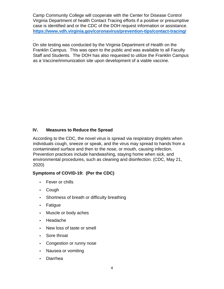Camp Community College will cooperate with the Center for Disease Control Virginia Department of health Contact Tracing efforts if a positive or presumptive case is identified and or the CDC of the DOH request information or assistance. **<https://www.vdh.virginia.gov/coronavirus/prevention-tips/contact-tracing/>**

. On site testing was conducted by the Virginia Department of Health on the Franklin Campus. This was open to the public and was available to all Faculty Staff and Students. The DOH has also requested to utilize the Franklin Campus as a Vaccine/immunization site upon development of a viable vaccine.

# **IV. Measures to Reduce the Spread**

According to the CDC, the novel virus is spread via respiratory droplets when individuals cough, sneeze or speak, and the virus may spread to hands from a contaminated surface and then to the nose, or mouth, causing infection. Prevention practices include handwashing, staying home when sick, and environmental procedures, such as cleaning and disinfection. (CDC, May 21, 2020)

#### **Symptoms of COVID-19: (Per the CDC)**

- Fever or chills
- Cough
- Shortness of breath or difficulty breathing
- Fatigue
- Muscle or body aches
- Headache
- New loss of taste or smell
- Sore throat
- Congestion or runny nose
- Nausea or vomiting
- Diarrhea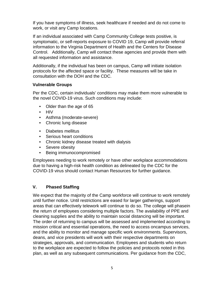If you have symptoms of illness, seek healthcare if needed and do not come to work, or visit any Camp locations.

If an individual associated with Camp Community College tests positive, is symptomatic, or self-reports exposure to COVID 19, Camp will provide referral information to the Virginia Department of Health and the Centers for Disease Control. Additionally, Camp will contact these agencies and provide them with all requested information and assistance.

Additionally, if the individual has been on campus, Camp will initiate isolation protocols for the affected space or facility. These measures will be take in consultation with the DOH and the CDC.

#### **Vulnerable Groups**

Per the CDC, certain individuals' conditions may make them more vulnerable to the novel COVID-19 virus. Such conditions may include:

- Older than the age of 65
- HIV
- Asthma (moderate-severe)
- Chronic lung disease
- Diabetes mellitus
- Serious heart conditions
- Chronic kidney disease treated with dialysis
- Severe obesity
- Being immunocompromised

Employees needing to work remotely or have other workplace accommodations due to having a high-risk health condition as delineated by the CDC for the COVID-19 virus should contact Human Resources for further guidance.

# **V. Phased Staffing**

We expect that the majority of the Camp workforce will continue to work remotely until further notice. Until restrictions are eased for larger gatherings, support areas that can effectively telework will continue to do so. The college will phasein the return of employees considering multiple factors. The availability of PPE and cleaning supplies and the ability to maintain social distancing will be important. The order of returning to campus will be assessed and implemented according to mission critical and essential operations, the need to access oncampus services, and the ability to monitor and manage specific work environments. Supervisors, deans, and vice presidents will work with their respective departments on strategies, approvals, and communication. Employees and students who return to the workplace are expected to follow the policies and protocols noted in this plan, as well as any subsequent communications. Per guidance from the CDC,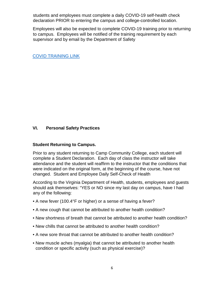students and employees must complete a daily COVID-19 self-health check declaration PRIOR to entering the campus and college-controlled location.

Employees will also be expected to complete COVID-19 training prior to returning to campus. Employees will be notified of the training requirement by each supervisor and by email by the Department of Safety

[COVID TRAINING LINK](https://drive.google.com/file/d/1HY3WTCgPxtF0L2_aAfP0TlWRKx9jnVll/view?usp=sharing)

# **VI. Personal Safety Practices**

#### **Student Returning to Campus.**

Prior to any student returning to Camp Community College, each student will complete a Student Declaration. Each day of class the instructor will take attendance and the student will reaffirm to the instructor that the conditions that were indicated on the original form, at the beginning of the course, have not changed. Student and Employee Daily Self-Check of Health

According to the Virginia Department of Health, students, employees and guests should ask themselves: "YES or NO since my last day on campus, have I had any of the following:

- A new fever (100.4°F or higher) or a sense of having a fever?
- A new cough that cannot be attributed to another health condition?
- New shortness of breath that cannot be attributed to another health condition?
- New chills that cannot be attributed to another health condition?
- A new sore throat that cannot be attributed to another health condition?
- New muscle aches (myalgia) that cannot be attributed to another health condition or specific activity (such as physical exercise)?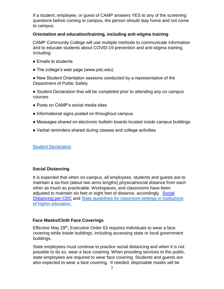If a student, employee, or guest of CAMP answers YES to any of the screening questions before coming to campus, the person should stay home and not come to campus.

#### **Orientation and education/training, including anti-stigma training**

CAMP Community College will use multiple methods to communicate information and to educate students about COVID-19 prevention and anti-stigma training, including:

- Emails to students
- The college's web page (www.pdc.edu)

● New Student Orientation sessions conducted by a representative of the Department of Public Safety

• Student Declaration that will be completed prior to attending any on campus courses

- Posts on CAMP's social media sites
- Informational signs posted on throughout campus
- Messages shared on electronic bulletin boards located inside campus buildings
- Verbal reminders shared during classes and college activities

[Student Declaration](https://drive.google.com/file/d/1BluwYlwKrAup5VUcBkO7FtYE3bTXb779/view?usp=sharing)

#### **Social Distancing**

It is expected that when on-campus, all employees, students and guests are to maintain a six-foot (about two arms lengths) physical/social distance from each other as much as practicable. Workspaces, and classrooms have been adjusted to maintain six feet or eight feet of distance, accordingly. [Social](https://www.cdc.gov/coronavirus/2019-ncov/prevent-getting-sick/social-distancing.html) [Distancing per CDC](https://www.cdc.gov/coronavirus/2019-ncov/prevent-getting-sick/social-distancing.html) [an](https://www.cdc.gov/coronavirus/2019-ncov/prevent-getting-sick/social-distancing.html)d [State guidelines for classroom settings in institutions](https://www.governor.virginia.gov/media/governorvirginiagov/governor-of-virginia/pdf/Higher-Education-Reopening-Guidance.pdf) [of higher education.](https://www.governor.virginia.gov/media/governorvirginiagov/governor-of-virginia/pdf/Higher-Education-Reopening-Guidance.pdf)

#### **Face Masks/Cloth Face Coverings**

Effective May 29<sup>th</sup>, Executive Order 63 requires individuals to wear a face covering while inside buildings, including accessing state or local government buildings.

State employees must continue to practice social distancing and when it is not possible to do so, wear a face covering. When providing services to the public, state employees are required to wear face covering. Students and guests are also expected to wear a face covering. If needed, disposable masks will be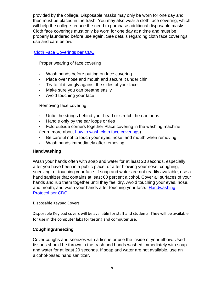provided by the college, Disposable masks may only be worn for one day and then must be placed in the trash. You may also wear a cloth face covering, which will help the college reduce the need to purchase additional disposable masks, Cloth face coverings must only be worn for one day at a time and must be properly laundered before use again. See details regarding cloth face coverings use and care below.

#### [Cloth Face Coverings per CDC](https://www.cdc.gov/coronavirus/2019-ncov/prevent-getting-sick/about-face-coverings.html)

Proper wearing of face covering

- Wash hands before putting on face covering
- Place over nose and mouth and secure it under chin
- Try to fit it snugly against the sides of your face
- Make sure you can breathe easily
- Avoid touching your face

Removing face covering

- Untie the strings behind your head or stretch the ear loops
- Handle only by the ear loops or ties
- Fold outside corners together Place covering in the washing machine (learn more about [how to wash](https://www.cdc.gov/coronavirus/2019-ncov/prevent-getting-sick/how-to-wash-cloth-face-coverings.html) [cloth face coverings\)](https://www.cdc.gov/coronavirus/2019-ncov/prevent-getting-sick/how-to-wash-cloth-face-coverings.html)
- Be careful not to touch your eyes, nose, and mouth when removing
- Wash hands immediately after removing.

#### **Handwashing**

Wash your hands often with soap and water for at least 20 seconds, especially after you have been in a public place, or after blowing your nose, coughing, sneezing, or touching your face. If soap and water are not readily available, use a hand sanitizer that contains at least 60 percent alcohol. Cover all surfaces of your hands and rub them together until they feel dry. Avoid touching your eyes, nose, and mouth, and wash your hands after touching your face. [Handwashing](https://www.cdc.gov/handwashing/hand-sanitizer-use.html)  [Protocol per CDC](https://www.cdc.gov/handwashing/hand-sanitizer-use.html)

#### Disposable Keypad Covers

Disposable Key pad covers will be available for staff and students. They will be available for use in the computer labs for testing and computer use.

#### **Coughing/Sneezing**

Cover coughs and sneezes with a tissue or use the inside of your elbow. Used tissues should be thrown in the trash and hands washed immediately with soap and water for at least 20 seconds. If soap and water are not available, use an alcohol-based hand sanitizer.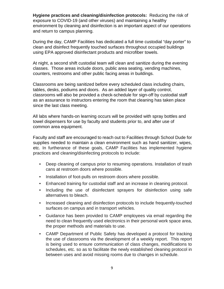**Hygiene practices and cleaning/disinfection protocols:** Reducing the risk of exposure to COVID-19 (and other viruses) and maintaining a healthy environment by cleaning and disinfection is an important aspect of our operations and return to campus planning.

During the day, CAMP Facilities has dedicated a full time custodial "day porter" to clean and disinfect frequently touched surfaces throughout occupied buildings using EPA approved disinfectant products and microfiber towels.

At night, a second shift custodial team will clean and sanitize during the evening classes. Those areas include doors, public area seating, vending machines, counters, restrooms and other public facing areas in buildings.

Classrooms are being sanitized before every scheduled class including chairs, tables, desks, podiums and doors. As an added layer of quality control, classrooms will also be provided a check-schedule for sign-off by custodial staff as an assurance to instructors entering the room that cleaning has taken place since the last class meeting.

All labs where hands-on learning occurs will be provided with spray bottles and towel dispensers for use by faculty and students prior to, and after use of common area equipment.

Faculty and staff are encouraged to reach out to Facilities through School Dude for supplies needed to maintain a clean environment such as hand sanitizer, wipes, etc. In furtherance of these goals, CAMP Facilities has implemented hygiene practices and cleaning/disinfecting protocols to include:

- Deep cleaning of campus prior to resuming operations. Installation of trash cans at restroom doors where possible.
- Installation of foot-pulls on restroom doors where possible.
- Enhanced training for custodial staff and an increase in cleaning protocol.
- Including the use of disinfectant sprayers for disinfection using safe alternatives to bleach.
- Increased cleaning and disinfection protocols to include frequently-touched surfaces on campus and in transport vehicles.
- Guidance has been provided to CAMP employees via email regarding the need to clean frequently used electronics in their personal work space area, the proper methods and materials to use.
- CAMP Department of Public Safety has developed a protocol for tracking the use of classrooms via the development of a weekly report. This report is being used to ensure communication of class changes, modifications to schedules, etc. so as to facilitate the newly established cleaning protocol in between uses and avoid missing rooms due to changes in schedule.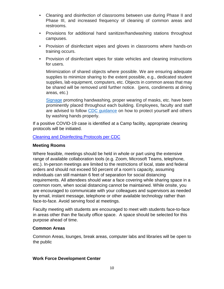- Cleaning and disinfection of classrooms between use during Phase II and Phase III, and increased frequency of cleaning of common areas and restrooms.
- Provisions for additional hand sanitizer/handwashing stations throughout campuses.
- Provision of disinfectant wipes and gloves in classrooms where hands-on training occurs.
- Provision of disinfectant wipes for state vehicles and cleaning instructions for users.

Minimization of shared objects where possible. We are ensuring adequate supplies to minimize sharing to the extent possible, e.g., dedicated student supplies, lab equipment, computers, etc. Objects in common areas that may be shared will be removed until further notice. (pens, condiments at dining areas, etc.)

[Signage](https://lfcc0.sharepoint.com/sites/VPFAS/Shared%20Documents/C%20Short%20Folder/COVID%2019%20Folder/COVID%20NOTICE%20INFOGRAPHIC_11X17.pdf) [p](https://lfcc0.sharepoint.com/sites/VPFAS/Shared%20Documents/C%20Short%20Folder/COVID%2019%20Folder/COVID%20NOTICE%20INFOGRAPHIC_11X17.pdf)romoting handwashing, proper wearing of masks, etc. have been prominently placed throughout each building. Employees, faculty and staff are advised to follow [CDC guidance](https://www.cdc.gov/handwashing/when-how-handwashing.html) on how to protect yourself and others by washing hands properly.

If a positive COVID-19 case is identified at a Camp facility, appropriate cleaning protocols will be initiated.

[Cleaning and Disinfecting Protocols per CDC](https://www.cdc.gov/coronavirus/2019-ncov/community/disinfecting-building-facility.html) 

#### **Meeting Rooms**

Where feasible, meetings should be held in whole or part using the extensive range of available collaboration tools (e.g. Zoom, Microsoft Teams, telephone, etc.). In-person meetings are limited to the restrictions of local, state and federal orders and should not exceed 50 percent of a room's capacity, assuming individuals can still maintain 6 feet of separation for social distancing requirements. All attendees should wear a face covering while sharing space in a common room, when social distancing cannot be maintained. While onsite, you are encouraged to communicate with your colleagues and supervisors as needed by email, instant message, telephone or other available technology rather than face-to-face. Avoid serving food at meetings.

Faculty meeting with students are encouraged to meet with students face-to-face in areas other than the faculty office space. A space should be selected for this purpose ahead of time.

#### **Common Areas**

Common Areas, lounges, break areas, computer labs and libraries will be open to the public

#### **Work Force Development Center**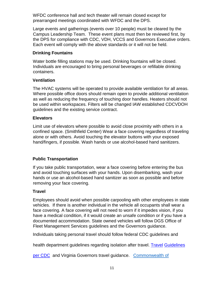WFDC conference hall and tech theater will remain closed except for prearranged meetings coordinated with WFDC and the DPS.

Large events and gatherings (events over 10 people) must be cleared by the Campus Leadership Team. These event plans must then be reviewed first, by the DPS for compliance with CDC, VDH, VCCS and Governors Executive orders. Each event will comply with the above standards or it will not be held.

#### **Drinking Fountains**

Water bottle filling stations may be used. Drinking fountains will be closed. Individuals are encouraged to bring personal beverages or refillable drinking containers.

# **Ventilation**

The HVAC systems will be operated to provide available ventilation for all areas. Where possible office doors should remain open to provide additional ventilation as well as reducing the frequency of touching door handles. Heaters should not be used within workspaces. Filters will be changed IAW established CDCVDOH guidelines and the existing service contract.

# **Elevators**

Limit use of elevators where possible to avoid close proximity with others in a confined space. (Smithfield Center) Wear a face covering regardless of traveling alone or with others. Avoid touching the elevator buttons with your exposed hand/fingers, if possible. Wash hands or use alcohol-based hand sanitizers.

# **Public Transportation**

If you take public transportation, wear a face covering before entering the bus and avoid touching surfaces with your hands. Upon disembarking, wash your hands or use an alcohol-based hand sanitizer as soon as possible and before removing your face covering.

#### **Travel**

Employees should avoid when possible carpooling with other employees in state vehicles. If there is another individual in the vehicle all occupants shall wear a face covering. A face covering will not need to worn if it impedes vision, if you have a medical condition, if it would create an unsafe condition or if you have a documented accommodation. State owned vehicles will follow DGS Office of Fleet Management Services guidelines and the Governors guidance.

Individuals taking personal travel should follow federal CDC guidelines and

health department guidelines regarding isolation after travel. [Travel](https://www.cdc.gov/coronavirus/2019-ncov/travelers/travel-in-the-us.html) [Guidelines](https://www.cdc.gov/coronavirus/2019-ncov/travelers/travel-in-the-us.html) 

[per CDC](https://www.cdc.gov/coronavirus/2019-ncov/travelers/travel-in-the-us.html) [a](https://www.cdc.gov/coronavirus/2019-ncov/travelers/travel-in-the-us.html)nd Virginia Governors travel guidance. [Commonwealth of](https://www.governor.virginia.gov/media/governorvirginiagov/executive-actions/EO-63-and-Order-Of-Public-Health-Emergency-Five---Requirement-To-Wear-Face-Covering-While-Inside-Buildings.pdf)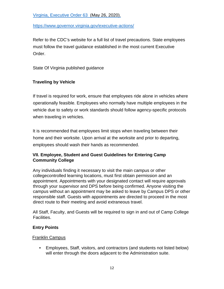[Virginia, Executive Order 63 \(M](https://www.governor.virginia.gov/media/governorvirginiagov/executive-actions/EO-63-and-Order-Of-Public-Health-Emergency-Five---Requirement-To-Wear-Face-Covering-While-Inside-Buildings.pdf)ay 26, 2020).

<https://www.governor.virginia.gov/executive-actions/>

Refer to the CDC's website for a full list of travel precautions. State employees must follow the travel guidance established in the most current Executive Order.

State Of Virginia published guidance

# **Traveling by Vehicle**

If travel is required for work, ensure that employees ride alone in vehicles where operationally feasible. Employees who normally have multiple employees in the vehicle due to safety or work standards should follow agency-specific protocols when traveling in vehicles.

It is recommended that employees limit stops when traveling between their home and their worksite. Upon arrival at the worksite and prior to departing, employees should wash their hands as recommended.

# **VII. Employee, Student and Guest Guidelines for Entering Camp Community College**

Any individuals finding it necessary to visit the main campus or other collegecontrolled learning locations, must first obtain permission and an appointment. Appointments with your designated contact will require approvals through your supervisor and DPS before being confirmed. Anyone visiting the campus without an appointment may be asked to leave by Campus DPS or other responsible staff. Guests with appointments are directed to proceed in the most direct route to their meeting and avoid extraneous travel.

All Staff, Faculty, and Guests will be required to sign in and out of Camp College Facilities.

#### **Entry Points**

#### Franklin Campus

• Employees, Staff, visitors, and contractors (and students not listed below) will enter through the doors adjacent to the Administration suite.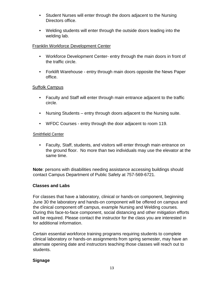- Student Nurses will enter through the doors adjacent to the Nursing Directors office.
- Welding students will enter through the outside doors leading into the welding lab.

#### Franklin Workforce Development Center

- Workforce Development Center- entry through the main doors in front of the traffic circle.
- Forklift Warehouse entry through main doors opposite the News Paper office.

#### Suffolk Campus

- Faculty and Staff will enter through main entrance adjacent to the traffic circle.
- Nursing Students entry through doors adjacent to the Nursing suite.
- WFDC Courses entry through the door adjacent to room 119.

#### Smithfield Center

• Faculty, Staff, students, and visitors will enter through main entrance on the ground floor. No more than two individuals may use the elevator at the same time.

**Note**: persons with disabilities needing assistance accessing buildings should contact Campus Department of Public Safety at 757-569-6721.

#### **Classes and Labs**

For classes that have a laboratory, clinical or hands-on component, beginning June 30 the laboratory and hands-on component will be offered on campus and the clinical component off campus, example Nursing and Welding courses. During this face-to-face component, social distancing and other mitigation efforts will be required. Please contact the instructor for the class you are interested in for additional information.

Certain essential workforce training programs requiring students to complete clinical laboratory or hands-on assignments from spring semester, may have an alternate opening date and instructors teaching those classes will reach out to students.

# **Signage**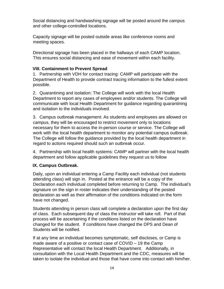Social distancing and handwashing signage will be posted around the campus and other college-controlled locations.

Capacity signage will be posted outside areas like conference rooms and meeting spaces.

Directional signage has been placed in the hallways of each CAMP location. This ensures social distancing and ease of movement within each facility.

#### **VIII. Containment to Prevent Spread**

1. Partnership with VDH for contact tracing: CAMP will participate with the Department of Health to provide contract tracing information to the fullest extent possible.

2. Quarantining and isolation: The College will work with the local Health Department to report any cases of employees and/or students. The College will communicate with local Health Department for guidance regarding quarantining and isolation to the individuals involved.

3. Campus outbreak management: As students and employees are allowed on campus, they will be encouraged to restrict movement only to locations necessary for them to access the in-person course or service. The College will work with the local health department to monitor any potential campus outbreak. The College will follow the guidance provided by the local health department in regard to actions required should such an outbreak occur.

4. Partnership with local health systems: CAMP will partner with the local health department and follow applicable guidelines they request us to follow

#### **IX. Campus Outbreak.**

Daily, upon an individual entering a Camp Facility each individual (not students attending class) will sign in. Posted at the entrance will be a copy of the Declaration each individual completed before returning to Camp. The individual's signature on the sign in roster indicates their understanding of the posted declaration as well as their affirmation of the conditions indicated on the form have not changed.

Students attending in person class will complete a declaration upon the first day of class. Each subsequent day of class the instructor will take roll. Part of that process will be ascertaining if the conditions listed on the declaration have changed for the student. If conditions have changed the DPS and Dean of Students will be notified.

If at any time an individual becomes symptomatic, self discloses, or Camp is made aware of a positive or contact case of COVID – 19 the Camp Representative will contact the local Health Department. Additionally, in consultation with the Local Health Department and the CDC, measures will be taken to isolate the individual and those that have come into contact with him/her.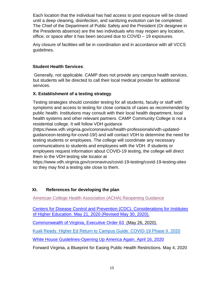Each location that the individual has had access to post exposure will be closed until a deep cleaning, disinfection, and sanitizing evolution can be completed. The Chief of the Department of Public Safety and the President (Or designee in the Presidents absence) are the two individuals who may reopen any location, office, or space after it has been secured due to COVID – 19 exposures.

Any closure of facilities will be in coordination and in accordance with all VCCS guidelines.

# **Student Health Services**:

Generally, not applicable. CAMP does not provide any campus health services, but students will be directed to call their local medical provider for additional services.

#### **X. Establishment of a testing strategy**.

Testing strategies should consider testing for all students, faculty or staff with symptoms and access to testing for close contacts of cases as recommended by public health. Institutions may consult with their local health department, local health systems and other relevant partners. CAMP Community College is not a residential college. It will follow VDH guidance

(https://www.vdh.virginia.gov/coronavirus/health-professionals/vdh-updatedguidanceon-testing-for-covid-19/) and will contact VDH to determine the need for testing students or employees. The college will coordinate any necessary communications to students and employees with the VDH. If students or employees request information about COVID-19 testing, the college will direct them to the VDH testing site locator at

https://www.vdh.virginia.gov/coronavirus/covid-19-testing/covid-19-testing-sites so they may find a testing site close to them.

# **XI. References for developing the plan**

[American College Health Association \(ACHA\) Reopening Guidance](https://acha-test.app.box.com/s/k202537ahi3w27b0w6cdhqxynr3vljif) 

[Centers for Disease Control and Prevention \(CDC\). Considerations for Institutes](https://www.cdc.gov/coronavirus/2019-ncov/community/colleges-universities/considerations.html) [of Higher Education. May 21, 2020 \(R](https://www.cdc.gov/coronavirus/2019-ncov/community/colleges-universities/considerations.html)evised May 30, 2020).

[Commonwealth of Virginia, Executive Order 63 \(M](https://www.governor.virginia.gov/media/governorvirginiagov/executive-actions/EO-63-and-Order-Of-Public-Health-Emergency-Five---Requirement-To-Wear-Face-Covering-While-Inside-Buildings.pdf)ay 26, 2020).

[Kuali Ready. Higher Ed Return to Campus Guide: COVID-19 Phase II. 2020](https://assets.website-files.com/5df134921ff70f28b6f10c06/5e9f4b08550a7e3dbf8c325f_Higher%20Ed%20Return%20to%20Campus%20Guide.pdf?mkt_tok=eyJpIjoiT1RKaU1qUTFPR0l5Wm1VNSIsInQiOiJHbmsxOXZ6SzczcFhndUFXUmRha1wvZVd5d0JxUElKNzVkdUxNbis1QmVLc2VENEY3UWYyZ0RGQkhUZG1ZK2lFNnlxdzRibnpmWmR5R1A2RndwNmY3SGVqejFvV3RWVHhHM1Y5eTJFdDgrSTBFQ1NEOGFQb2NwWkRqeWpJeHFzajMifQ%3D%3D)

[White House Guidelines-Opening Up America Again. April 16, 2020](https://www.whitehouse.gov/wp-content/uploads/2020/04/Guidelines-for-Opening-Up-America-Again.pdf?mod=article_inline) 

Forward Virginia, a Blueprint for Easing Public Health Restrictions. May 4, 2020